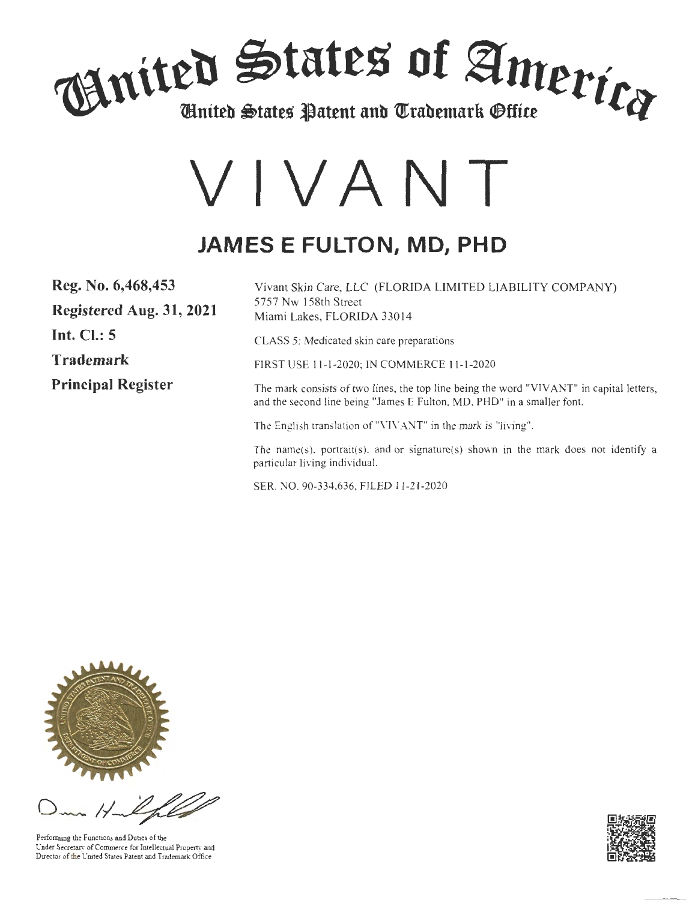

# **VIVA NT**

# **JAMES E FULTON, MD, PHD**

| Reg. No. 6,468,453        | Vivant Skin Care, LLC (FLORIDA LIMITED LIABILITY COMPANY)                                                                                                          |
|---------------------------|--------------------------------------------------------------------------------------------------------------------------------------------------------------------|
| Registered Aug. 31, 2021  | 5757 Nw 158th Street<br>Miami Lakes, FLORIDA 33014                                                                                                                 |
| Int. $Cl.: 5$             | CLASS 5: Medicated skin care preparations                                                                                                                          |
| <b>Trademark</b>          | FIRST USE 11-1-2020; IN COMMERCE 11-1-2020                                                                                                                         |
| <b>Principal Register</b> | The mark consists of two lines, the top line being the word "VIVANT" in capital letters,<br>and the second line being "James E Fulton, MD, PHD" in a smaller font. |
|                           | The English translation of "VIVANT" in the mark is "living".                                                                                                       |
|                           | The name(s), portrait(s), and or signature(s) shown in the mark does not identify a<br>particular living individual.                                               |
|                           |                                                                                                                                                                    |

SER. NO. 90-334,636, FILED 11-21-2020



Performing the Functions and Duties of the Under Secretary of Commerce for Intellectual Property and Director of the United States Patent and Trademark Office

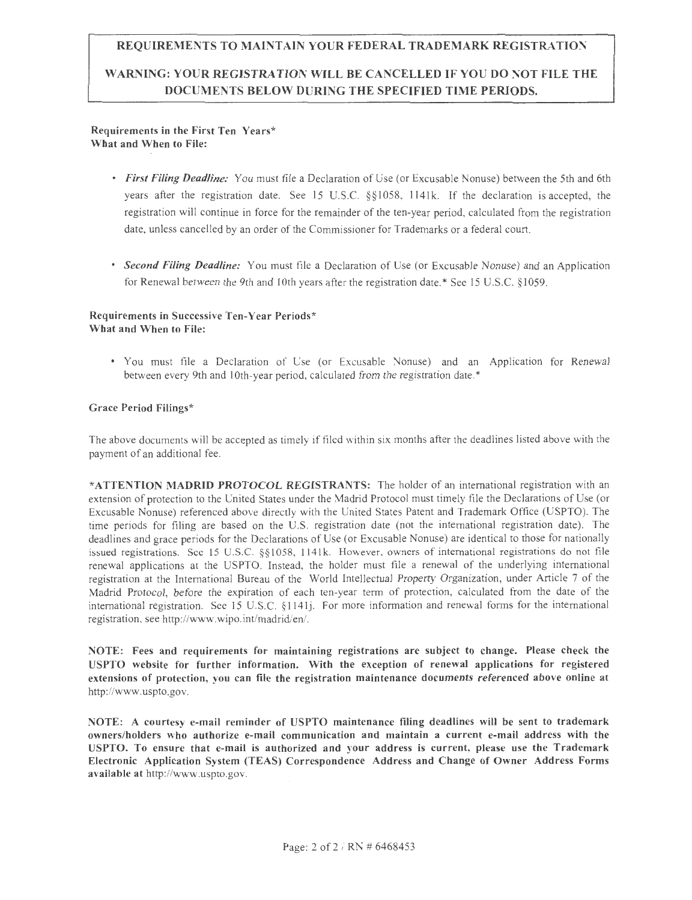#### **REQUIREMENTS TO MAINTAIN YOUR FEDERAL TRADEMARK REGISTRATIO:\1**

#### **WARNING: YOUR REGISTRATION WILL BE CANCELLED IF YOU DO NOT FILE THE DOCUMENTS BELOW DURING THE SPECIFIED TIME PERIODS.**

#### **Requirements in the First Ten Years\* What and When to File:**

- *First Filing Deadline:* You must file a Declaration of Use (or Excusable Nonuse) between the 5th and 6th years after the registration date. See 15 U.S.C. §§1058, 1141k. If the declaration is accepted, the registration will continue in force for the remainder of the ten-year period, calculated from the registration date, unless cancelled by an order of the Commissioner for Trademarks or a federal court.
- *Second Filing Deadline:* You must file a Declaration of Use (or Excusable Nonuse) and an Application for Renewal between the 9th and 10th years after the registration date.\* See 15 U.S.C. §1059.

#### **Requirements in Successive Ten-Year Periods\* What and When to File:**

• You must file a Declaration of Use (or Excusable Nonuse) and an Application for Renewal between every 9th and 10th-year period, calculated from the registration date.\*

#### **Grace Period Filings\***

The above documents will be accepted as timely if filed within six months after the deadlines listed above with the payment of an additional fee.

\* **ATTENTION MADRID PROTOCOL REGISTRANTS:** The holder of an international registration with an extension of protection to the United States under the Madrid Protocol must timely file the Declarations of Use (or Excusable Nonuse) referenced above directly with the United States Patent and Trademark Office (USPTO). The time periods for filing are based on the U.S. registration date (not the international registration date). The deadlines and grace periods for the Declarations of Use (or Excusable Nonuse) are identical to those for nationally issued registrations. See 15 U.S.C. §§1058, 1141k. However, owners of international registrations do not file renewal applications at the USPTO. Instead, the holder must file a renewal of the underlying international registration at the International Bureau of the World Intellectual Property Organization, under Article 7 of the Madrid Protocol, before the expiration of each ten-year term of protection, calculated from the date of the international registration. See 15 U.S.C. §114lj. For more information and renewal forms for the international registration, see http://www.wipo.int/madrid/en/.

**NOTE: Fees and requirements for maintaining registrations are subject to change. Please check the USPTO website for further information. With the exception of renewal applications for registered extensions of protection, you can file the registration maintenance documents referenced above online at**  http ://www.uspto.gov.

NOTE: A courtesy e-mail reminder of USPTO maintenance filing deadlines will be sent to trademark owners/holders who authorize e-mail communication and maintain a current e-mail address with the USPTO. To ensure that e-mail is authorized and your address is current, please use the Trademark Electronic Application System (TEAS) Correspondence Address and Change of Owner Address Forms available at http://www.uspto.gov.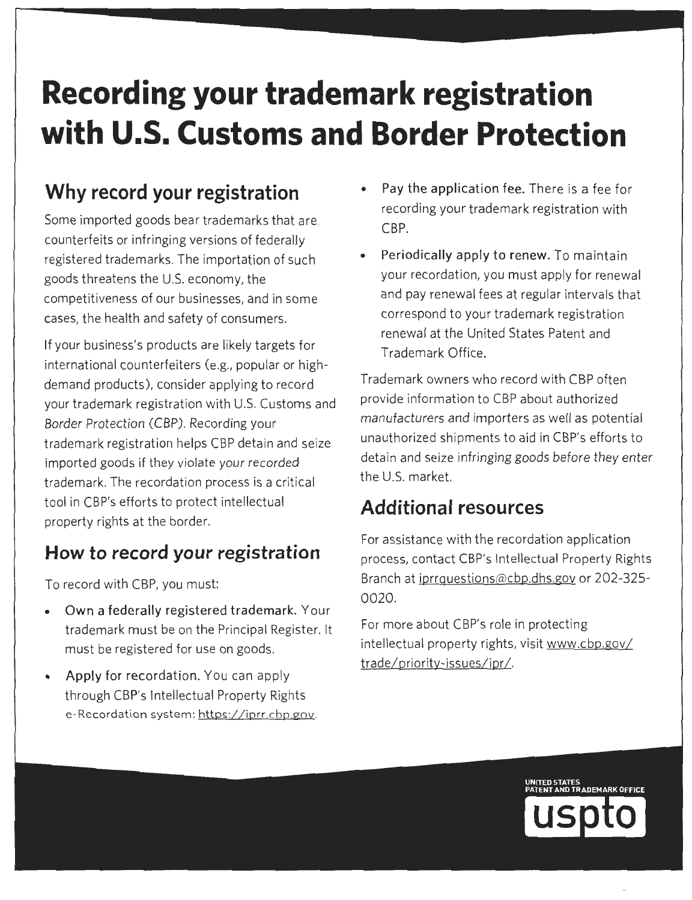# **Recording your trademark registration with U.S. Customs and Border Protection**

# **Why record your registration**

Some imported goods bear trademarks that are. counterfeits or infringing versions of federally registered trademarks. The importation of such goods threatens the U.S. economy, the competitiveness of our businesses, and in some cases, the health and safety of consumers.

If your business's products are likely targets for international counterfeiters (e.g., popular or highdemand products), consider applying to record your trademark registration with U.S. Customs and Border Protection (CBP). Recording your trademark registration helps CBP detain and seize imported goods if they violate your recorded trademark. The recordation process is a critical tool in CBP's efforts to protect intellectual property rights at the border.

# **How to record your registration**

To record with CBP, you must:

- **Own a federally registered trademark.** Your trademark must be on the Principal Register. It must be registered for use on goods.
- **Apply for recordation.** You can apply through CBP's Intellectual Property Rights e-Recordation system: https://iprr.cbp.gov
- Pay the application fee. There is a fee for recording your trademark registration with CBP.
- **Periodically apply to renew.** To maintain your recordation, you must apply for renewal and pay renewal fees at regular intervals that correspond to your trademark registration renewal at the United States Patent and Trademark Office.

Trademark owners who record with CBP often provide information to CBP about authorized manufacturers and importers as well as potential unauthorized shipments to aid in CBP's efforts to detain and seize infringing goods before they enter the U.S. market.

# **Additional resources**

For assistance with the recordation application process, contact CBP's Intellectual Property Rights Branch at iprrquestions@cbp.dhs.gov or 202-325- 0020.

For more about CBP's role in protecting intellectual property rights, visit www.cbp.gov/ trade/priority-issues/ipr /.

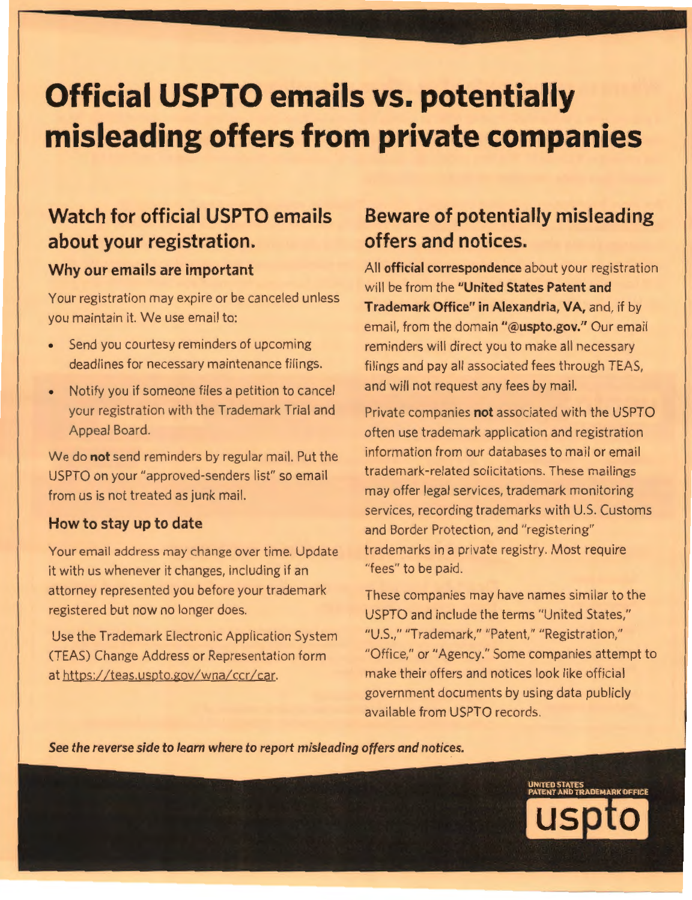# **Official USPTO emails vs. potentially misleading offers from private companies**

## **Watch for official USPTO emails about your registration.**

#### **Why our emails are important**

Your registration may expire or be canceled unless you maintain it. We use email to:

- Send you courtesy reminders of upcoming deadlines for necessary maintenance filings.
- Notify you if someone files a petition to cancel your registration with the Trademark Trial and Appeal Board.

We do **not** send reminders by regular mail. Put the USPTO on your "approved-senders list" so email from us is not treated as junk mail.

#### **How to stay up to date**

Your email address may change over time. Update it with us whenever it changes, including if an attorney represented you before your trademark registered but now no longer does.

Use the Trademark Electronic Application System (TEAS) Change Address or Representation form at https://teas.uspto.gov/wna/ccr/car.

# **Beware of potentially misleading offers and notices.**

All **official correspondence** about your registration will be from the **"United States Patent and Trademark Office" in Alexandria, VA,** and, if by email, from the domain **"@uspto.gov."** Our email reminders will direct you to make all necessary filings and pay all associated fees through TEAS, and will not request any fees by mail.

Private companies **not** associated with the USPTO often use trademark application and registration information from our databases to mail or email trademark-related solicitations. These mailings may offer legal services, trademark monitoring services, recording trademarks with U.S. Customs and Border Protection, and "registering" trademarks in a private registry. Most require "fees" to be paid.

These companies may have names similar to the USPTO and include the terms "United States," "U.S.," "Trademark," "Patent," "Registration," "Office," or "Agency." Some companies attempt to make their offers and notices look like official government documents by using data publicly available from USPTO records.

*See the reverse side* **to** *learn where* **to** *report misleading offers and notices.* 

**UNITED STATES PATENT AND TRADEMARK OFFICE**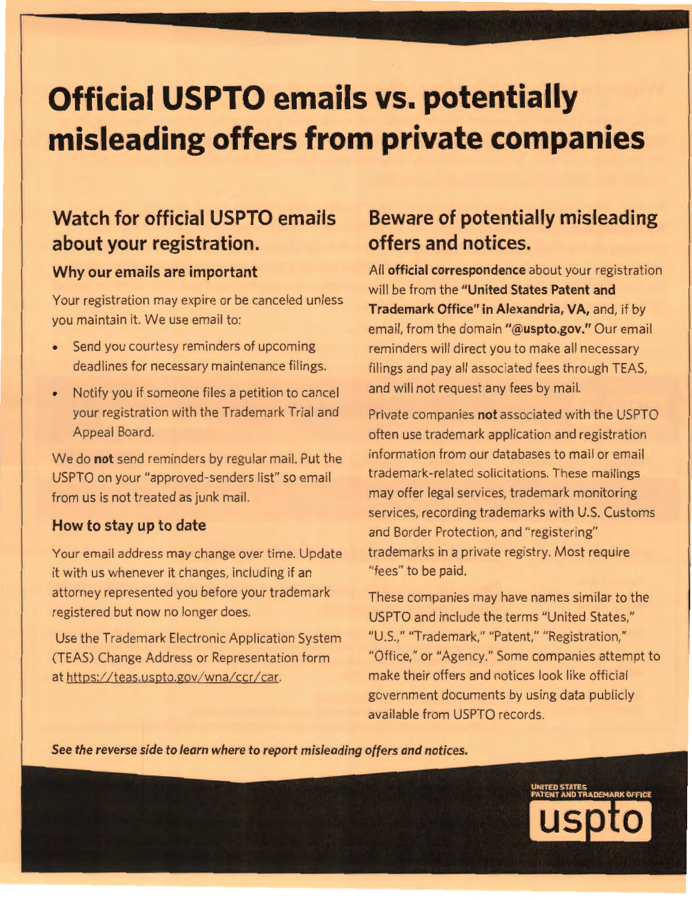# **Official USPTO emails vs. potentially misleading offers from private companies**

## **Watch for official USPTO emails about your registration.**

#### **Why our emails are important**

Your registration may expire or be canceled unless you maintain it. We use email to:

- Send you courtesy reminders of upcoming deadlines for necessary maintenance filings.
- Notify you if someone files a petition to cancel your registration with the Trademark Trial and Appeal Board.

We do **not** send reminders by regular mail. Put the USPTO on your "approved-senders list" so email from us is not treated as junk mail.

#### **How to stay up to date**

Your email address may change over time. Update it with us whenever it changes, including if an attorney represented you before your trademark registered but now no longer does.

Use the Trademark Electronic Application System (TEAS) Change Address or Representation form at https://teas.uspto.gov/wna/ccr/car.

# **Beware of potentially misleading offers and notices.**

All **official correspondence** about your registration will be from the **"United States Patent and Trademark Office" in Alexandria, VA,** and, if by email, from the domain **"@uspto.gov."** Our email reminders will direct you to make all necessary filings and pay all associated fees through TEAS, and will not request any fees by mail.

Private companies **not** associated with the USPTO often use trademark application and registration information from our databases to mail or email trademark-related solicitations. These mailings may offer legal services, trademark monitoring services, recording trademarks with U.S. Customs and Border Protection, and "registering" trademarks in a private registry. Most require "fees" to be paid.

These companies may have names similar to the USPTO and include the terms "United States," "U.S.," "Trademark," "Patent," "Registration," "Office," or "Agency." Some companies attempt to make their offers and notices look like official government documents by using data publicly available from USPTO records.

*See the reverse side* **to** *learn where* **to** *report misleading offers and notices.* 

**UNITED STATES PATENT AND TRADEMARK OFFICE**